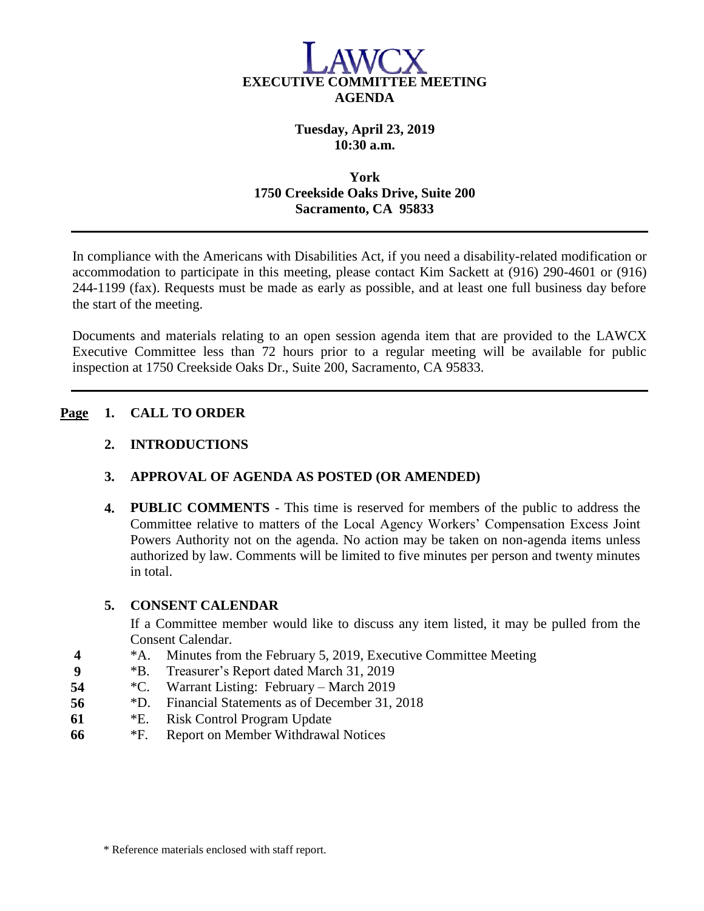

## **Tuesday, April 23, 2019 10:30 a.m.**

## **York 1750 Creekside Oaks Drive, Suite 200 Sacramento, CA 95833**

In compliance with the Americans with Disabilities Act, if you need a disability-related modification or accommodation to participate in this meeting, please contact Kim Sackett at (916) 290-4601 or (916) 244-1199 (fax). Requests must be made as early as possible, and at least one full business day before the start of the meeting.

Documents and materials relating to an open session agenda item that are provided to the LAWCX Executive Committee less than 72 hours prior to a regular meeting will be available for public inspection at 1750 Creekside Oaks Dr., Suite 200, Sacramento, CA 95833.

## **Page 1. CALL TO ORDER**

### **2. INTRODUCTIONS**

## **3. APPROVAL OF AGENDA AS POSTED (OR AMENDED)**

**4. PUBLIC COMMENTS** - This time is reserved for members of the public to address the Committee relative to matters of the Local Agency Workers' Compensation Excess Joint Powers Authority not on the agenda. No action may be taken on non-agenda items unless authorized by law. Comments will be limited to five minutes per person and twenty minutes in total.

#### **5. CONSENT CALENDAR**

If a Committee member would like to discuss any item listed, it may be pulled from the Consent Calendar.

- **4** \*A. Minutes from the February 5, 2019, Executive Committee Meeting
- **9** \*B. Treasurer's Report dated March 31, 2019
- **54** \*C. Warrant Listing: February March 2019
- **56** \*D. Financial Statements as of December 31, 2018
- **61** \*E. Risk Control Program Update
- **66** \*F. Report on Member Withdrawal Notices

\* Reference materials enclosed with staff report.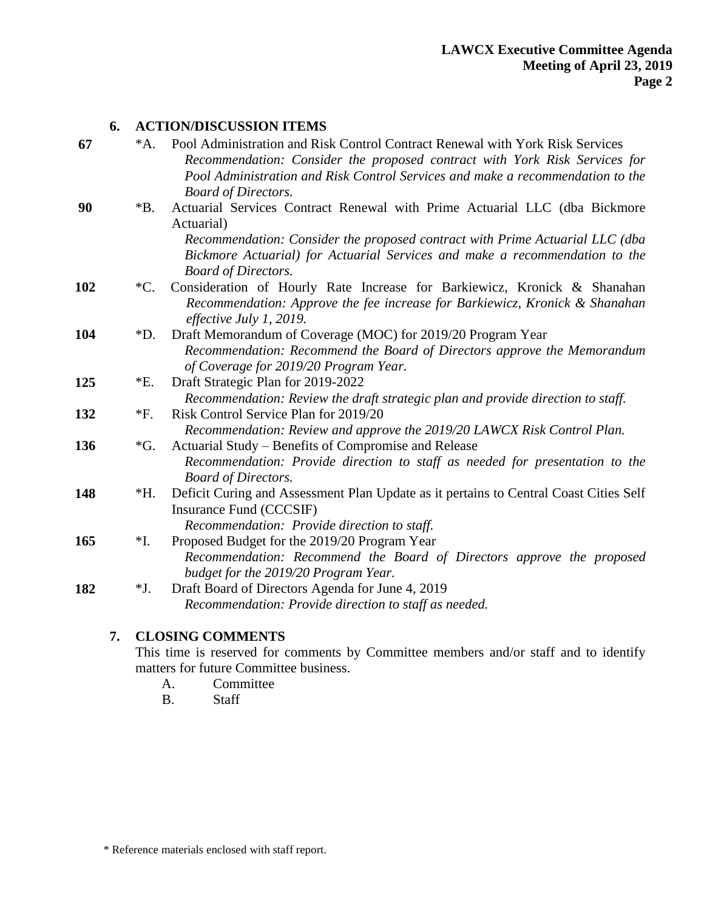### **6. ACTION/DISCUSSION ITEMS**

| 67  | $^*A.$             | Pool Administration and Risk Control Contract Renewal with York Risk Services<br>Recommendation: Consider the proposed contract with York Risk Services for<br>Pool Administration and Risk Control Services and make a recommendation to the<br><b>Board of Directors.</b>           |
|-----|--------------------|---------------------------------------------------------------------------------------------------------------------------------------------------------------------------------------------------------------------------------------------------------------------------------------|
| 90  | $*B.$              | Actuarial Services Contract Renewal with Prime Actuarial LLC (dba Bickmore<br>Actuarial)<br>Recommendation: Consider the proposed contract with Prime Actuarial LLC (dba<br>Bickmore Actuarial) for Actuarial Services and make a recommendation to the<br><b>Board of Directors.</b> |
| 102 | $^{\ast}C.$        | Consideration of Hourly Rate Increase for Barkiewicz, Kronick & Shanahan<br>Recommendation: Approve the fee increase for Barkiewicz, Kronick & Shanahan<br>effective July 1, 2019.                                                                                                    |
| 104 | $\boldsymbol{D}$ . | Draft Memorandum of Coverage (MOC) for 2019/20 Program Year<br>Recommendation: Recommend the Board of Directors approve the Memorandum<br>of Coverage for 2019/20 Program Year.                                                                                                       |
| 125 | $E$ .              | Draft Strategic Plan for 2019-2022<br>Recommendation: Review the draft strategic plan and provide direction to staff.                                                                                                                                                                 |
| 132 | $*F.$              | Risk Control Service Plan for 2019/20<br>Recommendation: Review and approve the 2019/20 LAWCX Risk Control Plan.                                                                                                                                                                      |
| 136 | $\mathcal{G}$ .    | Actuarial Study – Benefits of Compromise and Release<br>Recommendation: Provide direction to staff as needed for presentation to the<br><b>Board of Directors.</b>                                                                                                                    |
| 148 | $*H.$              | Deficit Curing and Assessment Plan Update as it pertains to Central Coast Cities Self<br>Insurance Fund (CCCSIF)<br>Recommendation: Provide direction to staff.                                                                                                                       |
| 165 | *I.                | Proposed Budget for the 2019/20 Program Year<br>Recommendation: Recommend the Board of Directors approve the proposed<br>budget for the 2019/20 Program Year.                                                                                                                         |
| 182 | *J.                | Draft Board of Directors Agenda for June 4, 2019<br>Recommendation: Provide direction to staff as needed.                                                                                                                                                                             |

# **7. CLOSING COMMENTS**

This time is reserved for comments by Committee members and/or staff and to identify matters for future Committee business.

- A. Committee
- B. Staff

<sup>\*</sup> Reference materials enclosed with staff report.